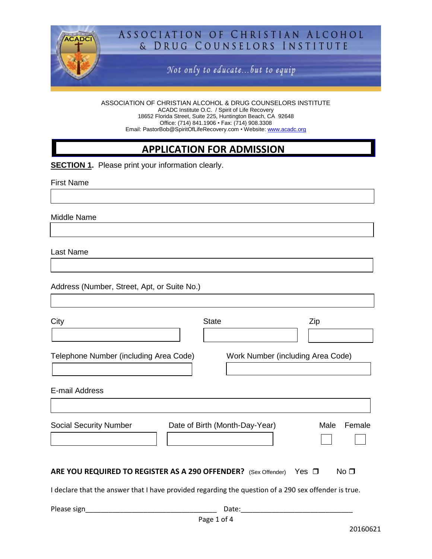

# ASSOCIATION OF CHRISTIAN ALCOHOL & DRUG COUNSELORS INSTITUTE

Not only to educate...but to equip

ASSOCIATION OF CHRISTIAN ALCOHOL & DRUG COUNSELORS INSTITUTE ACADC Institute O.C. / Spirit of Life Recovery 18652 Florida Street, Suite 225, Huntington Beach, CA 92648 Office: (714) 841.1906 • Fax: (714) 908.3308 Email: PastorBob@SpiritOfLifeRecovery.com • Website: [www.acadc.org](http://www.acadc.org/)

# **APPLICATION FOR ADMISSION**

**SECTION 1.** Please print your information clearly.

First Name

Middle Name

Last Name

Address (Number, Street, Apt, or Suite No.)

| City                                                                                                                                                                         | <b>State</b>                   | Zip                               |
|------------------------------------------------------------------------------------------------------------------------------------------------------------------------------|--------------------------------|-----------------------------------|
|                                                                                                                                                                              |                                |                                   |
| Telephone Number (including Area Code)                                                                                                                                       |                                | Work Number (including Area Code) |
| E-mail Address                                                                                                                                                               |                                |                                   |
| <b>Social Security Number</b>                                                                                                                                                | Date of Birth (Month-Day-Year) | Female<br>Male                    |
| ARE YOU REQUIRED TO REGISTER AS A 290 OFFENDER? (Sex Offender) Yes O<br>I declare that the answer that I have provided regarding the question of a 290 sex offender is true. |                                | No <sub>1</sub>                   |

| Please sign  |  |  |
|--------------|--|--|
| $\sim$<br>-- |  |  |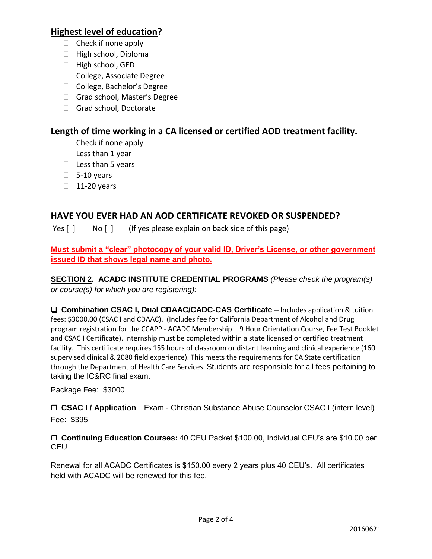## **Highest level of education?**

- $\Box$  Check if none apply
- $\Box$  High school, Diploma
- $\Box$  High school, GED
- □ College, Associate Degree
- □ College, Bachelor's Degree
- Grad school, Master's Degree
- Grad school, Doctorate

## **Length of time working in a CA licensed or certified AOD treatment facility.**

- $\Box$  Check if none apply
- $\Box$  Less than 1 year
- $\Box$  Less than 5 years
- $\Box$  5-10 years
- $\Box$  11-20 years

## **HAVE YOU EVER HAD AN AOD CERTIFICATE REVOKED OR SUSPENDED?**

Yes [ ] No [ ] (If yes please explain on back side of this page)

**Must submit a "clear" photocopy of your valid ID, Driver's License, or other government issued ID that shows legal name and photo.** 

**SECTION 2. ACADC INSTITUTE CREDENTIAL PROGRAMS** *(Please check the program(s) or course(s) for which you are registering):*

 **Combination CSAC I, Dual CDAAC/CADC-CAS Certificate –** Includes application & tuition fees: \$3000.00 (CSAC I and CDAAC). (Includes fee for California Department of Alcohol and Drug program registration for the CCAPP - ACADC Membership – 9 Hour Orientation Course, Fee Test Booklet and CSAC I Certificate). Internship must be completed within a state licensed or certified treatment facility. This certificate requires 155 hours of classroom or distant learning and clinical experience (160 supervised clinical & 2080 field experience). This meets the requirements for CA State certification through the Department of Health Care Services. Students are responsible for all fees pertaining to taking the IC&RC final exam.

Package Fee: \$3000

□ CSAC I / Application – Exam - Christian Substance Abuse Counselor CSAC I (intern level) Fee: \$395

 **Continuing Education Courses:** 40 CEU Packet \$100.00, Individual CEU's are \$10.00 per **CEU** 

Renewal for all ACADC Certificates is \$150.00 every 2 years plus 40 CEU's. All certificates held with ACADC will be renewed for this fee.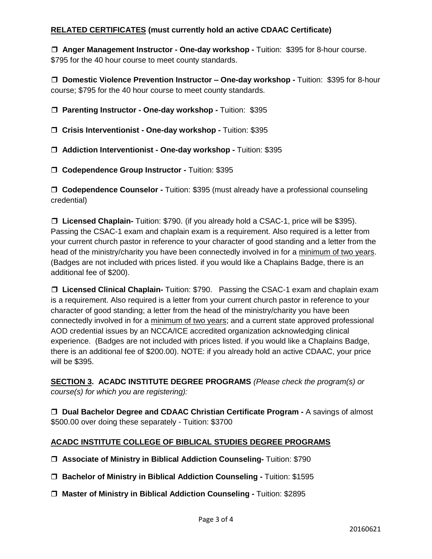## **RELATED CERTIFICATES (must currently hold an active CDAAC Certificate)**

 **Anger Management Instructor - One-day workshop -** Tuition: \$395 for 8-hour course. \$795 for the 40 hour course to meet county standards.

 **Domestic Violence Prevention Instructor – One-day workshop -** Tuition: \$395 for 8-hour course; \$795 for the 40 hour course to meet county standards.

 **Parenting Instructor - One-day workshop -** Tuition: \$395

**Crisis Interventionist - One-day workshop -** Tuition: \$395

**Addiction Interventionist - One-day workshop -** Tuition: \$395

**Codependence Group Instructor -** Tuition: \$395

 **Codependence Counselor -** Tuition: \$395 (must already have a professional counseling credential)

□ Licensed Chaplain- Tuition: \$790. (if you already hold a CSAC-1, price will be \$395). Passing the CSAC-1 exam and chaplain exam is a requirement. Also required is a letter from your current church pastor in reference to your character of good standing and a letter from the head of the ministry/charity you have been connectedly involved in for a minimum of two years. (Badges are not included with prices listed. if you would like a Chaplains Badge, there is an additional fee of \$200).

□ Licensed Clinical Chaplain- Tuition: \$790. Passing the CSAC-1 exam and chaplain exam is a requirement. Also required is a letter from your current church pastor in reference to your character of good standing; a letter from the head of the ministry/charity you have been connectedly involved in for a minimum of two years; and a current state approved professional AOD credential issues by an NCCA/ICE accredited organization acknowledging clinical experience. (Badges are not included with prices listed. if you would like a Chaplains Badge, there is an additional fee of \$200.00). NOTE: if you already hold an active CDAAC, your price will be \$395.

**SECTION 3. ACADC INSTITUTE DEGREE PROGRAMS** *(Please check the program(s) or course(s) for which you are registering):*

 **Dual Bachelor Degree and CDAAC Christian Certificate Program -** A savings of almost \$500.00 over doing these separately - Tuition: \$3700

## **ACADC INSTITUTE COLLEGE OF BIBLICAL STUDIES DEGREE PROGRAMS**

- **Associate of Ministry in Biblical Addiction Counseling-** Tuition: \$790
- **Bachelor of Ministry in Biblical Addiction Counseling -** Tuition: \$1595
- **Master of Ministry in Biblical Addiction Counseling -** Tuition: \$2895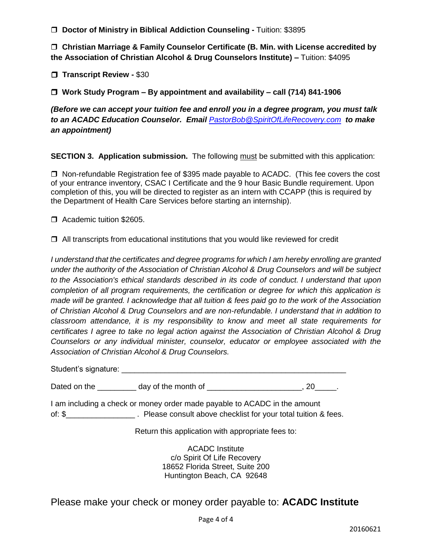**Doctor of Ministry in Biblical Addiction Counseling -** Tuition: \$3895

 **Christian Marriage & Family Counselor Certificate (B. Min. with License accredited by the Association of Christian Alcohol & Drug Counselors Institute) –** Tuition: \$4095

 **Transcript Review -** \$30

 **Work Study Program – By appointment and availability – call (714) 841-1906**

*(Before we can accept your tuition fee and enroll you in a degree program, you must talk to an ACADC Education Counselor. Email [PastorBob@SpiritOfLifeRecovery.com](mailto:PastorBob@SpiritOfLifeRecovery.com) to make an appointment)*

**SECTION 3. Application submission.** The following must be submitted with this application:

□ Non-refundable Registration fee of \$395 made payable to ACADC. (This fee covers the cost of your entrance inventory, CSAC I Certificate and the 9 hour Basic Bundle requirement. Upon completion of this, you will be directed to register as an intern with CCAPP (this is required by the Department of Health Care Services before starting an internship).

□ Academic tuition \$2605.

 $\Box$  All transcripts from educational institutions that you would like reviewed for credit

*I understand that the certificates and degree programs for which I am hereby enrolling are granted under the authority of the Association of Christian Alcohol & Drug Counselors and will be subject to the Association's ethical standards described in its code of conduct. I understand that upon completion of all program requirements, the certification or degree for which this application is made will be granted. I acknowledge that all tuition & fees paid go to the work of the Association of Christian Alcohol & Drug Counselors and are non-refundable. I understand that in addition to classroom attendance, it is my responsibility to know and meet all state requirements for certificates I agree to take no legal action against the Association of Christian Alcohol & Drug Counselors or any individual minister, counselor, educator or employee associated with the Association of Christian Alcohol & Drug Counselors.*

Student's signature: \_\_\_\_\_\_\_\_\_\_\_\_\_\_\_\_\_\_\_\_\_\_\_\_\_\_\_\_\_\_\_\_\_\_\_\_\_\_\_\_\_\_\_\_\_\_\_\_\_\_\_\_

Dated on the \_\_\_\_\_\_\_\_\_\_ day of the month of \_\_\_\_\_\_\_\_\_\_\_\_\_\_\_\_\_\_\_\_\_\_\_\_, 20\_\_\_\_\_\_.

I am including a check or money order made payable to ACADC in the amount of: \$\_\_\_\_\_\_\_\_\_\_\_\_\_\_\_\_ . Please consult above checklist for your total tuition & fees.

Return this application with appropriate fees to:

ACADC Institute c/o Spirit Of Life Recovery 18652 Florida Street, Suite 200 Huntington Beach, CA 92648

Please make your check or money order payable to: **ACADC Institute**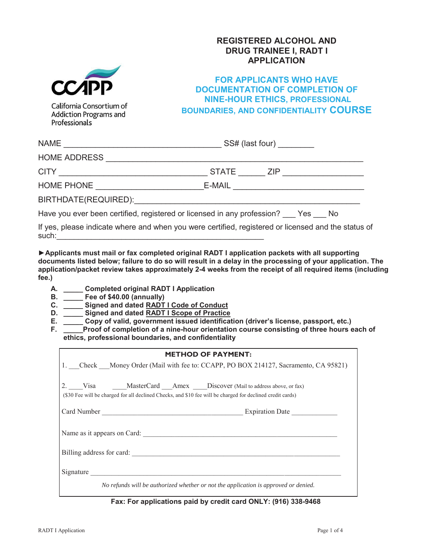## **REGISTERED ALCOHOL AND DRUG TRAINEE I, RADT I APPLICATION**



## **FOR APPLICANTS WHO HAVE DOCUMENTATION OF COMPLETION OF NINE-HOUR ETHICS, PROFESSIONAL BOUNDARIES, AND CONFIDENTIALITY COURSE**

California Consortium of Addiction Programs and Professionals

|                                                                                                     |                                     | SS# (last four) |  |
|-----------------------------------------------------------------------------------------------------|-------------------------------------|-----------------|--|
|                                                                                                     |                                     |                 |  |
|                                                                                                     | STATE _______ ZIP _________________ |                 |  |
|                                                                                                     |                                     |                 |  |
|                                                                                                     |                                     |                 |  |
| Have you ever been certified, registered or licensed in any profession? Pres No                     |                                     |                 |  |
| If yes, please indicate where and when you were certified, registered or licensed and the status of |                                     |                 |  |

 $such:\_\_\_\_\_\_\_$ **►Applicants must mail or fax completed original RADT I application packets with all supporting** 

**documents listed below; failure to do so will result in a delay in the processing of your application. The application/packet review takes approximately 2-4 weeks from the receipt of all required items (including fee.)** 

- **A. \_\_\_\_\_ Completed original RADT I Application**
- **B. \_\_\_\_\_ Fee of \$40.00 (annually)**
- **C. \_\_\_\_\_ Signed and dated RADT I Code of Conduct**
- **D. \_\_\_\_\_ Signed and dated RADT I Scope of Practice**
- **E. \_\_\_\_\_ Copy of valid, government issued identification (driver's license, passport, etc.)**
- F. **The Proof of completion of a nine-hour orientation course consisting of three hours each of ethics, professional boundaries, and confidentiality**

| <b>METHOD OF PAYMENT:</b>                                                                                  |                                                                                     |  |  |  |
|------------------------------------------------------------------------------------------------------------|-------------------------------------------------------------------------------------|--|--|--|
|                                                                                                            |                                                                                     |  |  |  |
| 1. Check Money Order (Mail with fee to: CCAPP, PO BOX 214127, Sacramento, CA 95821)                        |                                                                                     |  |  |  |
|                                                                                                            |                                                                                     |  |  |  |
| 2. Visa MasterCard Amex Discover (Mail to address above, or fax)                                           |                                                                                     |  |  |  |
| (\$30 Fee will be charged for all declined Checks, and \$10 fee will be charged for declined credit cards) |                                                                                     |  |  |  |
|                                                                                                            |                                                                                     |  |  |  |
|                                                                                                            |                                                                                     |  |  |  |
|                                                                                                            |                                                                                     |  |  |  |
| Name as it appears on Card:                                                                                |                                                                                     |  |  |  |
|                                                                                                            |                                                                                     |  |  |  |
|                                                                                                            |                                                                                     |  |  |  |
|                                                                                                            |                                                                                     |  |  |  |
| Signature                                                                                                  |                                                                                     |  |  |  |
|                                                                                                            |                                                                                     |  |  |  |
|                                                                                                            | No refunds will be authorized whether or not the application is approved or denied. |  |  |  |
|                                                                                                            |                                                                                     |  |  |  |

**Fax: For applications paid by credit card ONLY: (916) 338-9468**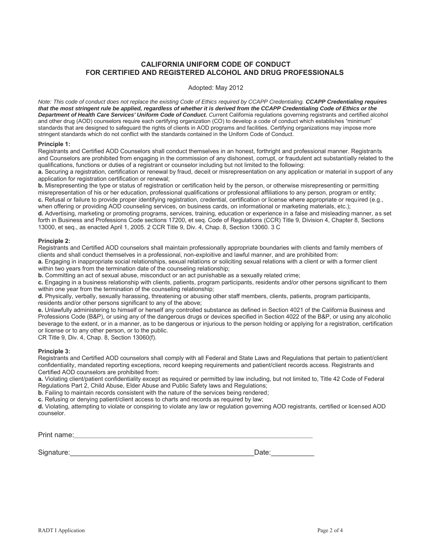## **CALIFORNIA UNIFORM CODE OF CONDUCT FOR CERTIFIED AND REGISTERED ALCOHOL AND DRUG PROFESSIONALS**

#### Adopted: May 2012

*Note: This code of conduct does not replace the existing Code of Ethics required by CCAPP Credentialing. CCAPP Credentialing requires that the most stringent rule be applied, regardless of whether it is derived from the CCAPP Credentialing Code of Ethics or the* **Department of Health Care Services' Uniform Code of Conduct.** Current California regulations governing registrants and certified alcohol and other drug (AOD) counselors require each certifying organization (CO) to develop a code of conduct which establishes "minimum" standards that are designed to safeguard the rights of clients in AOD programs and facilities. Certifying organizations may impose more stringent standards which do not conflict with the standards contained in the Uniform Code of Conduct.

#### **Principle 1:**

Registrants and Certified AOD Counselors shall conduct themselves in an honest, forthright and professional manner. Registrants and Counselors are prohibited from engaging in the commission of any dishonest, corrupt, or fraudulent act substantially related to the qualifications, functions or duties of a registrant or counselor including but not limited to the following:

**a.** Securing a registration, certification or renewal by fraud, deceit or misrepresentation on any application or material in support of any application for registration certification or renewal;

**b.** Misrepresenting the type or status of registration or certification held by the person, or otherwise misrepresenting or permitting misrepresentation of his or her education, professional qualifications or professional affiliations to any person, program or entity; **c.** Refusal or failure to provide proper identifying registration, credential, certification or license where appropriate or required (e.g., when offering or providing AOD counseling services, on business cards, on informational or marketing materials, etc.);

**d.** Advertising, marketing or promoting programs, services, training, education or experience in a false and misleading manner, as set forth in Business and Professions Code sections 17200, et seq. Code of Regulations (CCR) Title 9, Division 4, Chapter 8, Sections 13000, et seq., as enacted April 1, 2005. 2 CCR Title 9, Div. 4, Chap. 8, Section 13060. 3 C

#### **Principle 2:**

Registrants and Certified AOD counselors shall maintain professionally appropriate boundaries with clients and family members of clients and shall conduct themselves in a professional, non-exploitive and lawful manner, and are prohibited from:

**a.** Engaging in inappropriate social relationships, sexual relations or soliciting sexual relations with a client or with a former client within two years from the termination date of the counseling relationship;

**b.** Committing an act of sexual abuse, misconduct or an act punishable as a sexually related crime;

**c.** Engaging in a business relationship with clients, patients, program participants, residents and/or other persons significant to them within one year from the termination of the counseling relationship;

**d.** Physically, verbally, sexually harassing, threatening or abusing other staff members, clients, patients, program participants, residents and/or other persons significant to any of the above;

**e.** Unlawfully administering to himself or herself any controlled substance as defined in Section 4021 of the California Business and Professions Code (B&P), or using any of the dangerous drugs or devices specified in Section 4022 of the B&P, or using any alcoholic beverage to the extent, or in a manner, as to be dangerous or injurious to the person holding or applying for a registration, certification or license or to any other person, or to the public.

CR Title 9, Div. 4, Chap. 8, Section 13060(f).

#### **Principle 3:**

Registrants and Certified AOD counselors shall comply with all Federal and State Laws and Regulations that pertain to patient/client confidentiality, mandated reporting exceptions, record keeping requirements and patient/client records access. Registrants and Certified AOD counselors are prohibited from:

**a.** Violating client/patient confidentiality except as required or permitted by law including, but not limited to, Title 42 Code of Federal Regulations Part 2, Child Abuse, Elder Abuse and Public Safety laws and Regulations;

**b.** Failing to maintain records consistent with the nature of the services being rendered;

**c.** Refusing or denying patient/client access to charts and records as required by law;

**d.** Violating, attempting to violate or conspiring to violate any law or regulation governing AOD registrants, certified or licensed AOD counselor.

Print name:*\_\_\_\_\_\_\_\_\_\_\_\_\_\_\_\_\_\_\_\_\_\_\_\_\_\_\_\_\_\_\_\_\_\_\_\_\_\_\_\_\_\_\_\_\_\_\_\_\_\_\_\_\_\_\_\_\_\_\_\_\_*

Signature:\_\_\_\_\_\_\_\_\_\_\_\_\_\_\_\_\_\_\_\_\_\_\_\_\_\_\_\_\_\_\_\_\_\_\_\_\_\_\_\_\_\_\_\_\_\_\_Date:\_\_\_\_\_\_\_\_\_\_\_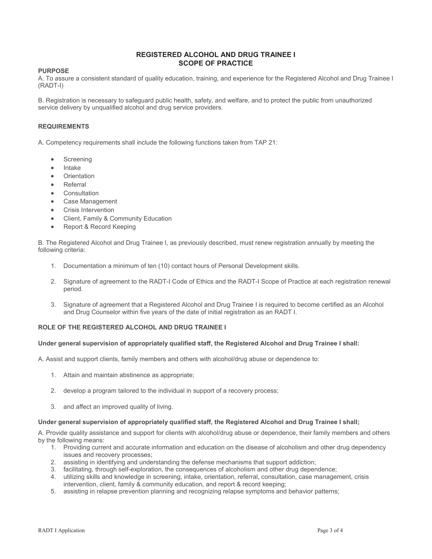## **REGISTERED ALCOHOL AND DRUG TRAINEE I SCOPE OF PRACTICE**

### **PURPOSE**

A. To assure a consistent standard of quality education, training, and experience for the Registered Alcohol and Drug Trainee I (RADT-I)

B. Registration is necessary to safeguard public health, safety, and welfare, and to protect the public from unauthorized service delivery by unqualified alcohol and drug service providers.

### **REQUIREMENTS**

A. Competency requirements shall include the following functions taken from TAP 21:

- Screening
- **Intake**
- **Orientation**
- **Referral**
- **Consultation**
- Case Management
- **Crisis Intervention**
- Client, Family & Community Education
- Report & Record Keeping

B. The Registered Alcohol and Drug Trainee I, as previously described, must renew registration annually by meeting the following criteria:

- 1. Documentation a minimum of ten (10) contact hours of Personal Development skills.
- 2. Signature of agreement to the RADT-I Code of Ethics and the RADT-I Scope of Practice at each registration renewal period.
- 3. Signature of agreement that a Registered Alcohol and Drug Trainee I is required to become certified as an Alcohol and Drug Counselor within five years of the date of initial registration as an RADT I.

### **ROLE OF THE REGISTERED ALCOHOL AND DRUG TRAINEE I**

### **Under general supervision of appropriately qualified staff, the Registered Alcohol and Drug Trainee I shall:**

A. Assist and support clients, family members and others with alcohol/drug abuse or dependence to:

- 1. Attain and maintain abstinence as appropriate;
- 2. develop a program tailored to the individual in support of a recovery process;
- 3. and affect an improved quality of living.

#### **Under general supervision of appropriately qualified staff, the Registered Alcohol and Drug Trainee I shall;**

A. Provide quality assistance and support for clients with alcohol/drug abuse or dependence, their family members and others by the following means:

- 1. Providing current and accurate information and education on the disease of alcoholism and other drug dependency issues and recovery processes;
- 2. assisting in identifying and understanding the defense mechanisms that support addiction;
- 3. facilitating, through self-exploration, the consequences of alcoholism and other drug dependence;
- 4. utilizing skills and knowledge in screening, intake, orientation, referral, consultation, case management, crisis intervention, client, family & community education, and report & record keeping;
- 5. assisting in relapse prevention planning and recognizing relapse symptoms and behavior patterns;